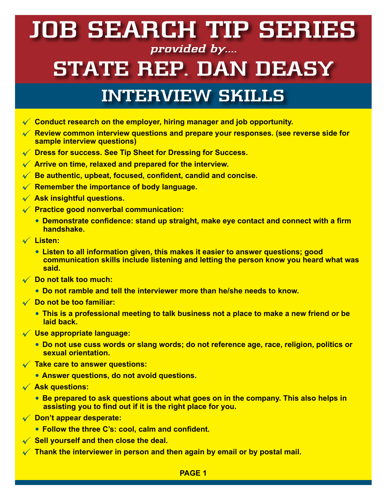### **JOB SEARCH TIP SERIES provided by....**

# **STATE REP. DAN DEASY**

### **INTERVIEW SKILLS**

- **Conduct research on the employer, hiring manager and job opportunity.**
- **Review common interview questions and prepare your responses. (see reverse side for sample interview questions)**
- **Dress for success. See Tip Sheet for Dressing for Success.**
- **Arrive on time, relaxed and prepared for the interview.**
- **Be authentic, upbeat, focused, confident, candid and concise.**
- **Remember the importance of body language.**
- **Ask insightful questions.**
- **Practice good nonverbal communication:**
	- **Demonstrate confidence: stand up straight, make eye contact and connect with a firm handshake.**
- **Listen:**
	- **Listen to all information given, this makes it easier to answer questions; good communication skills include listening and letting the person know you heard what was said.**
- **Do not talk too much:**
	- **Do not ramble and tell the interviewer more than he/she needs to know.**
- **Do not be too familiar:**
	- **This is a professional meeting to talk business not a place to make a new friend or be laid back.**
- **Use appropriate language:**
	- **Do not use cuss words or slang words; do not reference age, race, religion, politics or sexual orientation.**
- **Take care to answer questions:**
	- **Answer questions, do not avoid questions.**
- **Ask questions:**
	- **Be prepared to ask questions about what goes on in the company. This also helps in assisting you to find out if it is the right place for you.**
- **Don't appear desperate:**
	- **Follow the three C's: cool, calm and confident.**
- **Sell yourself and then close the deal.**
- **Thank the interviewer in person and then again by email or by postal mail.**

### **PAGE 1**